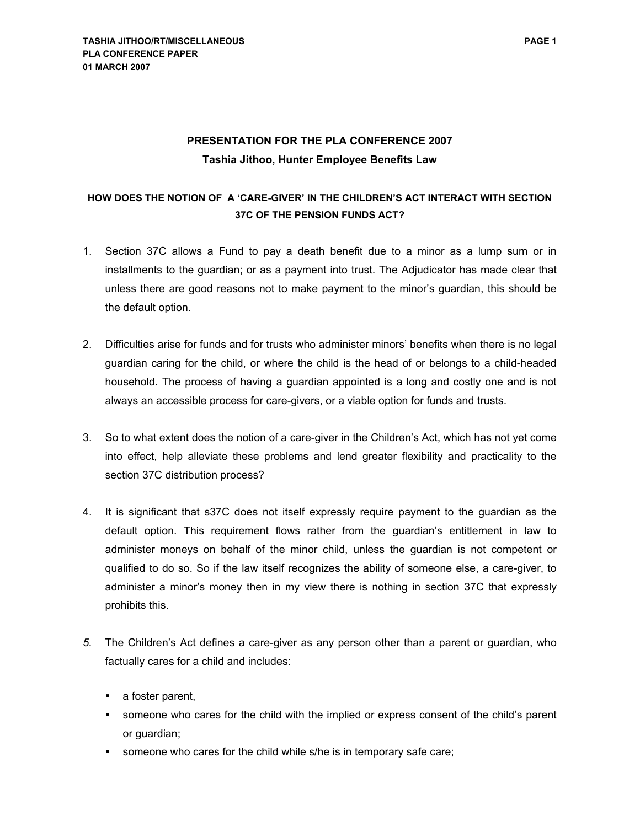## **PRESENTATION FOR THE PLA CONFERENCE 2007 Tashia Jithoo, Hunter Employee Benefits Law**

## **HOW DOES THE NOTION OF A 'CARE-GIVER' IN THE CHILDREN'S ACT INTERACT WITH SECTION 37C OF THE PENSION FUNDS ACT?**

- 1. Section 37C allows a Fund to pay a death benefit due to a minor as a lump sum or in installments to the guardian; or as a payment into trust. The Adjudicator has made clear that unless there are good reasons not to make payment to the minor's guardian, this should be the default option.
- 2. Difficulties arise for funds and for trusts who administer minors' benefits when there is no legal guardian caring for the child, or where the child is the head of or belongs to a child-headed household. The process of having a guardian appointed is a long and costly one and is not always an accessible process for care-givers, or a viable option for funds and trusts.
- 3. So to what extent does the notion of a care-giver in the Children's Act, which has not yet come into effect, help alleviate these problems and lend greater flexibility and practicality to the section 37C distribution process?
- 4. It is significant that s37C does not itself expressly require payment to the guardian as the default option. This requirement flows rather from the guardian's entitlement in law to administer moneys on behalf of the minor child, unless the guardian is not competent or qualified to do so. So if the law itself recognizes the ability of someone else, a care-giver, to administer a minor's money then in my view there is nothing in section 37C that expressly prohibits this.
- *5.* The Children's Act defines a care-giver as any person other than a parent or guardian, who factually cares for a child and includes:
	- a foster parent,
	- someone who cares for the child with the implied or express consent of the child's parent or guardian;
	- someone who cares for the child while s/he is in temporary safe care;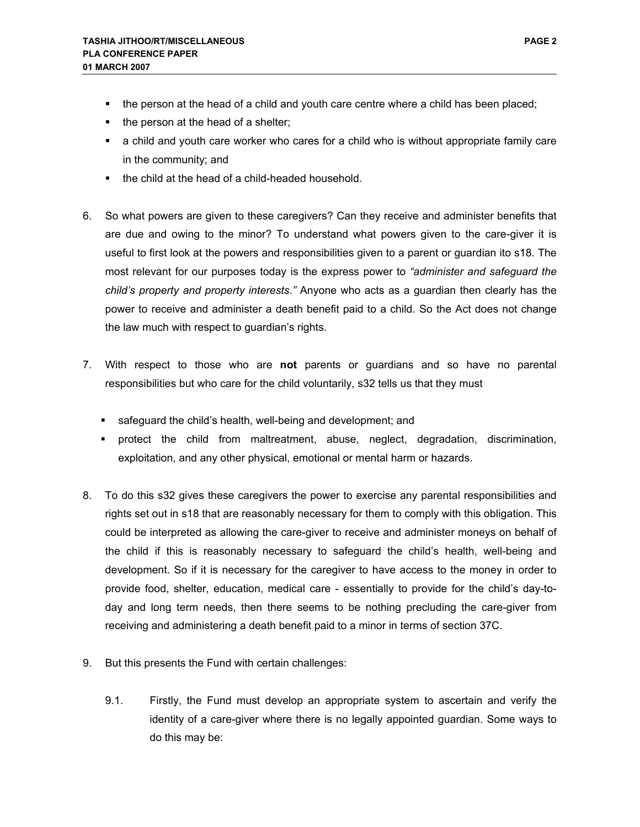- the person at the head of a child and youth care centre where a child has been placed;
- the person at the head of a shelter;
- a child and youth care worker who cares for a child who is without appropriate family care in the community; and
- the child at the head of a child-headed household.
- 6. So what powers are given to these caregivers? Can they receive and administer benefits that are due and owing to the minor? To understand what powers given to the care-giver it is useful to first look at the powers and responsibilities given to a parent or guardian ito s18. The most relevant for our purposes today is the express power to *"administer and safeguard the child's property and property interests."* Anyone who acts as a guardian then clearly has the power to receive and administer a death benefit paid to a child. So the Act does not change the law much with respect to guardian's rights.
- 7. With respect to those who are **not** parents or guardians and so have no parental responsibilities but who care for the child voluntarily, s32 tells us that they must
	- safeguard the child's health, well-being and development; and
	- protect the child from maltreatment, abuse, neglect, degradation, discrimination, exploitation, and any other physical, emotional or mental harm or hazards.
- 8. To do this s32 gives these caregivers the power to exercise any parental responsibilities and rights set out in s18 that are reasonably necessary for them to comply with this obligation. This could be interpreted as allowing the care-giver to receive and administer moneys on behalf of the child if this is reasonably necessary to safeguard the child's health, well-being and development. So if it is necessary for the caregiver to have access to the money in order to provide food, shelter, education, medical care - essentially to provide for the child's day-today and long term needs, then there seems to be nothing precluding the care-giver from receiving and administering a death benefit paid to a minor in terms of section 37C.
- 9. But this presents the Fund with certain challenges:
	- 9.1. Firstly, the Fund must develop an appropriate system to ascertain and verify the identity of a care-giver where there is no legally appointed guardian. Some ways to do this may be: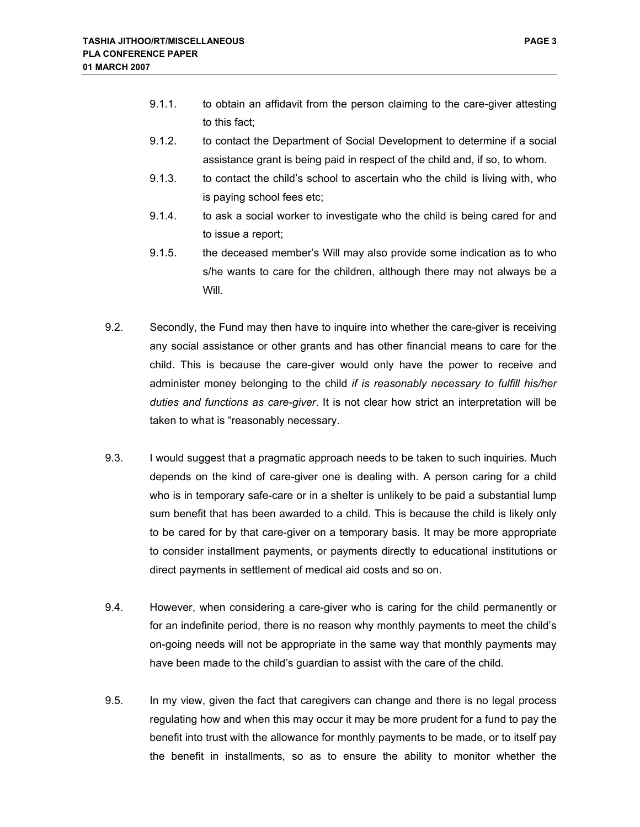- 9.1.1. to obtain an affidavit from the person claiming to the care-giver attesting to this fact;
- 9.1.2. to contact the Department of Social Development to determine if a social assistance grant is being paid in respect of the child and, if so, to whom.
- 9.1.3. to contact the child's school to ascertain who the child is living with, who is paying school fees etc;
- 9.1.4. to ask a social worker to investigate who the child is being cared for and to issue a report;
- 9.1.5. the deceased member's Will may also provide some indication as to who s/he wants to care for the children, although there may not always be a **Will**
- 9.2. Secondly, the Fund may then have to inquire into whether the care-giver is receiving any social assistance or other grants and has other financial means to care for the child. This is because the care-giver would only have the power to receive and administer money belonging to the child *if is reasonably necessary to fulfill his/her duties and functions as care-giver*. It is not clear how strict an interpretation will be taken to what is "reasonably necessary.
- 9.3. I would suggest that a pragmatic approach needs to be taken to such inquiries. Much depends on the kind of care-giver one is dealing with. A person caring for a child who is in temporary safe-care or in a shelter is unlikely to be paid a substantial lump sum benefit that has been awarded to a child. This is because the child is likely only to be cared for by that care-giver on a temporary basis. It may be more appropriate to consider installment payments, or payments directly to educational institutions or direct payments in settlement of medical aid costs and so on.
- 9.4. However, when considering a care-giver who is caring for the child permanently or for an indefinite period, there is no reason why monthly payments to meet the child's on-going needs will not be appropriate in the same way that monthly payments may have been made to the child's guardian to assist with the care of the child.
- 9.5. In my view, given the fact that caregivers can change and there is no legal process regulating how and when this may occur it may be more prudent for a fund to pay the benefit into trust with the allowance for monthly payments to be made, or to itself pay the benefit in installments, so as to ensure the ability to monitor whether the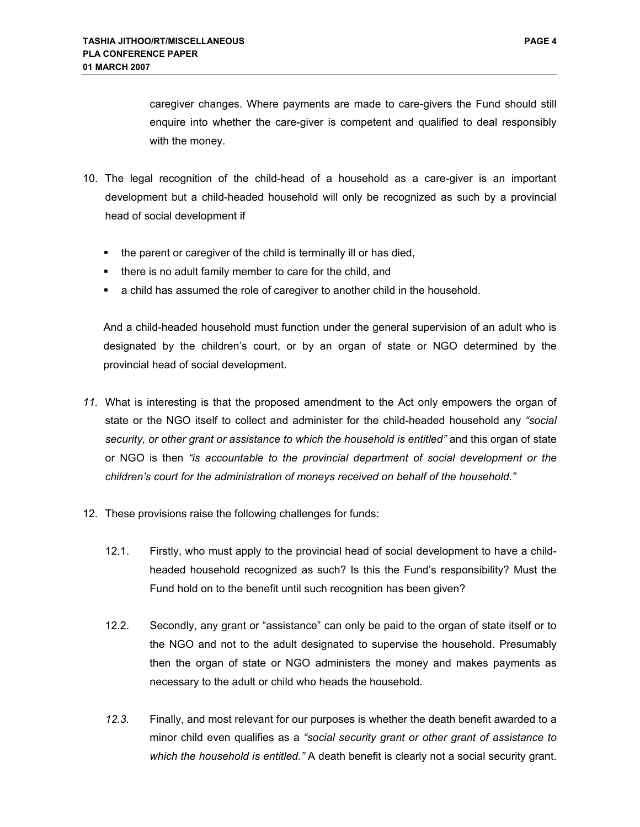caregiver changes. Where payments are made to care-givers the Fund should still enquire into whether the care-giver is competent and qualified to deal responsibly with the money.

- 10. The legal recognition of the child-head of a household as a care-giver is an important development but a child-headed household will only be recognized as such by a provincial head of social development if
	- the parent or caregiver of the child is terminally ill or has died,
	- there is no adult family member to care for the child, and
	- a child has assumed the role of caregiver to another child in the household.

And a child-headed household must function under the general supervision of an adult who is designated by the children's court, or by an organ of state or NGO determined by the provincial head of social development.

- *11.* What is interesting is that the proposed amendment to the Act only empowers the organ of state or the NGO itself to collect and administer for the child-headed household any *"social security, or other grant or assistance to which the household is entitled"* and this organ of state or NGO is then *"is accountable to the provincial department of social development or the children's court for the administration of moneys received on behalf of the household."*
- 12. These provisions raise the following challenges for funds:
	- 12.1. Firstly, who must apply to the provincial head of social development to have a childheaded household recognized as such? Is this the Fund's responsibility? Must the Fund hold on to the benefit until such recognition has been given?
	- 12.2. Secondly, any grant or "assistance" can only be paid to the organ of state itself or to the NGO and not to the adult designated to supervise the household. Presumably then the organ of state or NGO administers the money and makes payments as necessary to the adult or child who heads the household.
	- *12.3.* Finally, and most relevant for our purposes is whether the death benefit awarded to a minor child even qualifies as a *"social security grant or other grant of assistance to which the household is entitled."* A death benefit is clearly not a social security grant.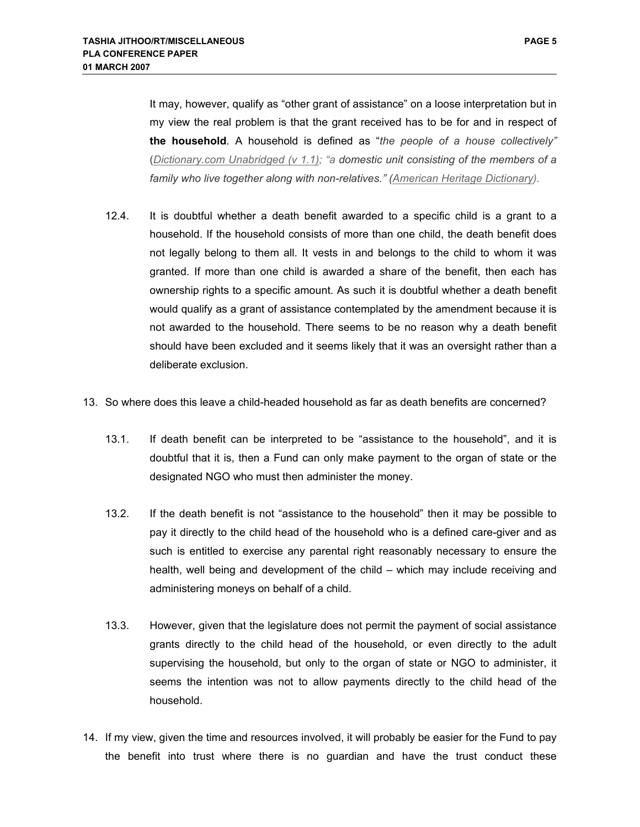It may, however, qualify as "other grant of assistance" on a loose interpretation but in my view the real problem is that the grant received has to be for and in respect of **the household**. A household is defined as "*the people of a house collectively"* (*Dictionary.com Unabridged (v 1.1); "a domestic unit consisting of the members of a family who live together along with non-relatives." (American Heritage Dictionary).*

- 12.4. It is doubtful whether a death benefit awarded to a specific child is a grant to a household. If the household consists of more than one child, the death benefit does not legally belong to them all. It vests in and belongs to the child to whom it was granted. If more than one child is awarded a share of the benefit, then each has ownership rights to a specific amount. As such it is doubtful whether a death benefit would qualify as a grant of assistance contemplated by the amendment because it is not awarded to the household. There seems to be no reason why a death benefit should have been excluded and it seems likely that it was an oversight rather than a deliberate exclusion.
- 13. So where does this leave a child-headed household as far as death benefits are concerned?
	- 13.1. If death benefit can be interpreted to be "assistance to the household", and it is doubtful that it is, then a Fund can only make payment to the organ of state or the designated NGO who must then administer the money.
	- 13.2. If the death benefit is not "assistance to the household" then it may be possible to pay it directly to the child head of the household who is a defined care-giver and as such is entitled to exercise any parental right reasonably necessary to ensure the health, well being and development of the child – which may include receiving and administering moneys on behalf of a child.
	- 13.3. However, given that the legislature does not permit the payment of social assistance grants directly to the child head of the household, or even directly to the adult supervising the household, but only to the organ of state or NGO to administer, it seems the intention was not to allow payments directly to the child head of the household.
- 14. If my view, given the time and resources involved, it will probably be easier for the Fund to pay the benefit into trust where there is no guardian and have the trust conduct these